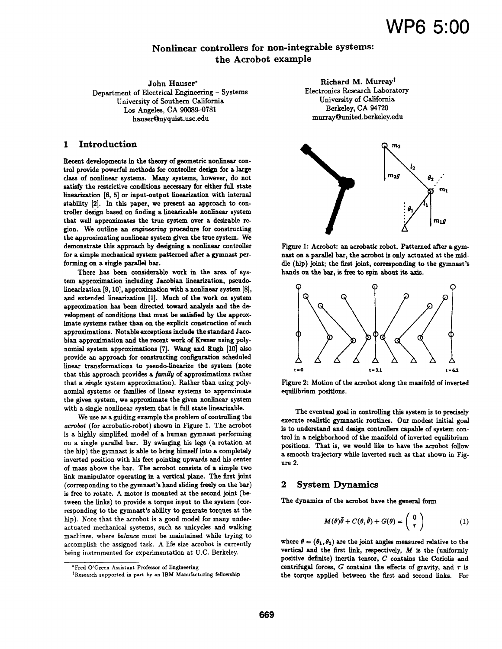# Nonlinear controllers for non-integrable systems: the Acrobot example

John Hauser\* Department of Electrical Engineering - Systems University of Southern California Los Angeles, CA 90089-0781 hauser@nyquist.usc.edu

# 1 Introduction

Recent developments in the theory of geometric nonlinear control provide powerful methods for controller design for a. large class of nonlinear systems. Many systems, however, do not satisfy the restrictive conditions necessary for either full state linearization (6, 5] or input-output linearization with internal stability (2]. In this paper, we present an approach to controller design based on finding a linearizable nonlinear system that well approximates the true system over a desirable region. We outline an engineering procedure for constructing the approximating nonlinear system given the true system. We demonstrate this approach by designing a nonlinear controller for a simple mechanical system patterned after a gymnast performing on a single parallel bar.

There has been considerable work in the area of system approximation including Jacobian linearization, pseudolinearization [9, 10], approximation with a nonlinear system [8], and extended linearization (1]. Much of the work on system approximation has been directed toward analysis and the development of conditions that must be satisfied by the approximate systems rather than on the explicit construction of such approximations. Notable exceptions include the standard Jacobian approximation and the recent work of Krener using polynomial system approximations (7]. Wang and Rugh (10] also provide an approach for constructing configuration scheduled linear transformations to pseudo-linearize the system (note that this approach provides a *family* of approximations rather that a *single* system approximation). Rather than using polynomial systems or families of linear systems to approximate the given system, we approximate the given nonlinear system with a single nonlinear system that is full state linearizable.

We use as a guiding example the problem of controlling the *acrobot* (for acrobatic-robot) shown in Figure 1. The acrobat is a highly simplified model of a human gymnast performing on a single parallel bar. By swinging his legs (a rotation at the hip) the gymnast is able to bring himself into a completely inverted position with his feet pointing upwards and his center of mass above the bar. The acrobot consists of a simple two link manipulator operating in a vertical plane. The first joint (corresponding to the gymnast's hand sliding freely on the bar) is free to rotate. A motor is mounted at the second joint (between the links) to provide a torque input to the system (corresponding to the gymnast's ability to generate torques at the hip). Note that the acrobot is a good model for many underactuated mechanical systems, such as unicycles and walking machines, where *balance* must be maintained while trying to accomplish the assigned task. A life size acrobot is currently being instrumented for experimentation at U.C. Berkeley.

Richard M. Murray<sup>†</sup> Electronics Research Laboratory University of California Berkeley, CA 94720 murray@united.berkeley.edu



Figure 1: Acrobot: an acrobatic robot. Patterned after a gymnast on a parallel bar, the acrobot is only actuated at the middle (hip) joint; the first joint, corresponding to the gymnast's hands on the bar, is free to spin about its axis.



Figure 2: Motion of the acrobot along the manifold of inverted equilibrium positions.

The eventual goal in controlling this system is to precisely execute realistic gymnastic routines. Our modest initial goal is to understand and design controllers capable of system control in a neighborhood of the manifold of inverted equilibrium positions. That is, we would like to have the acrobot follow a smooth trajectory while inverted such as that shown in Figure 2.

### 2 System Dynamics

The dynamics of the acrobot have the general form

$$
M(\theta)\ddot{\theta} + C(\theta, \dot{\theta}) + G(\theta) = \begin{pmatrix} 0 \\ \tau \end{pmatrix}
$$
 (1)

where  $\theta = (\theta_1, \theta_2)$  are the joint angles measured relative to the vertical and the first link, respectively,  $M$  is the (uniformly positive definite) inertia tensor, *C* contains the Coriolis and centrifugal forces,  $G$  contains the effects of gravity, and  $\tau$  is the torque applied between the first and second links. For

<sup>•</sup>Fred O'Green Assistant Professor of Engineering

t Research supported in part by an IBM Manufacturing fellowship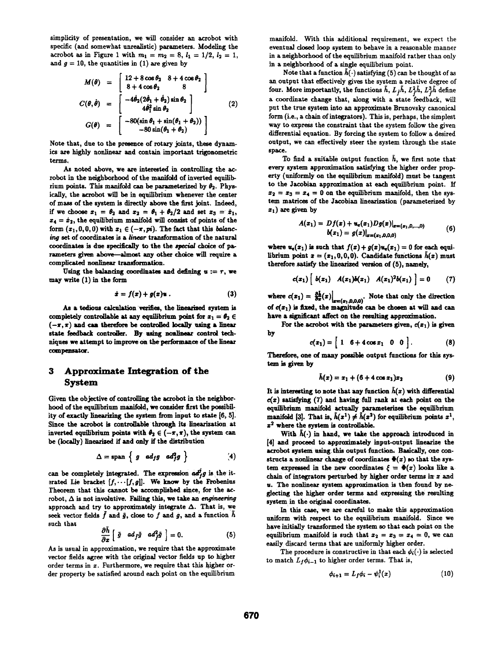simplicity of presentation, we will consider an acrobot with specific (and somewhat unrealistic) parameters. Modeling the acrobot as in Figure 1 with  $m_1 = m_2 = 8$ ,  $l_1 = 1/2$ ,  $l_2 = 1$ , and  $g = 10$ , the quantities in  $(1)$  are given by

$$
M(\theta) = \begin{bmatrix} 12 + 8 \cos \theta_2 & 8 + 4 \cos \theta_2 \\ 8 + 4 \cos \theta_2 & 8 \end{bmatrix}
$$
  
\n
$$
C(\theta, \dot{\theta}) = \begin{bmatrix} -4\dot{\theta}_2(2\dot{\theta}_1 + \dot{\theta}_2) \sin \theta_2 \\ 4\dot{\theta}_1^2 \sin \theta_2 \\ 4\dot{\theta}_1^2 \sin \theta_2 \end{bmatrix}
$$
 (2)  
\n
$$
G(\theta) = \begin{bmatrix} -80(\sin \theta_1 + \sin(\theta_1 + \theta_2)) \\ -80 \sin(\theta_1 + \theta_2) \end{bmatrix}
$$

Note that, due to the presence of rotary joints, these dynamics are highly nonlinear and contain important trigonometric terms.

As noted above, we are interested in controlling the acrobot in the neighborhood of the manifold of inverted equilibrium points. This manifold can be parameterized by  $\theta_2$ . Physically, the acrobot will be in equilibrium whenever the center of mass of the system is directly above the first joint. Indeed, if we choose  $x_1 = \theta_2$  and  $x_2 = \theta_1 + \theta_2/2$  and set  $x_3 = \dot{x}_1$ ,  $z_4 = \dot{z}_2$ , the equilibrium manifold will consist of points of the form  $(x_1,0,0,0)$  with  $x_1 \in (-\pi,pi)$ . The fact that this balancing set of coordinates is a *linear* transformation of the natural coordinates is due specifically to the the special choice of parameters given above-almost any other choice will require a complicated nonlinear transformation.

Using the balancing coordinates and defining  $u := r$ , we may write (1) in the form

$$
\dot{x} = f(x) + g(x)u . \qquad (3)
$$

As a tedious calculation verifies, the linearized system is completely controllable at any equilibrium point for  $x_1 = \theta_2 \in$  $(-\pi,\pi)$  and can therefore be controlled locally using a linear state feedback controller. By using noaliaear control techniques we attempt to improve on the performance of the linear compensator.

# 3 Approximate Integration of the System

Given the objective of controlling the acrobot in the neighborhood of the equilibrium manifold, we consider first the possibility of exactly linearizing the system from input to state (6, 5]. Since the acrobot is controllable through its linearization at inverted equilibrium points with  $\theta_2 \in (-\pi, \pi)$ , the system can be (locally) linearized if and only if the distribution

$$
\Delta = \text{span} \left\{ g \text{ } \text{ad}_f g \text{ } \text{ad}_f^2 g \right\} \qquad (4)
$$

can be completely integrated. The expression  $ad_f^2g$  is the iterated Lie bracket  $[f, \cdots [f, g]]$ . We know by the Frobenius Theorem that this cannot be accomplished since, for the acrobot,  $\Delta$  is not involutive. Failing this, we take an *engineering* approach and try to approximately integrate  $\Delta$ . That is, we seek vector fields  $\tilde{f}$  and  $\tilde{g}$ , close to  $f$  and  $g$ , and a function  $\tilde{h}$ such that

$$
\frac{\partial \tilde{h}}{\partial x} \left[ \tilde{g} \quad ad_{\tilde{f}} \tilde{g} \quad ad_{\tilde{f}}^2 \tilde{g} \right] = 0. \tag{5}
$$

As is usual in approximation, we require that the approximate vector fields agree with the original vector fields up to higher order terms in  $x$ . Furthermore, we require that this higher order property be satisfied around each point on the equilibrium

manifold. With this additional requirement, we expect the eventual closed loop system to behave in a reasonable manner in a neighborhood of the equilibrium manifold rather than only in a neighborhood of a single equilibrium point.

Note that a function  $\tilde{h}(\cdot)$  satisfying (5) can be thought of as an output that effectively gives the system a relative degree of four. More importantly, the functions  $\tilde{h}$ ,  $L_{\tilde{f}}\tilde{h}$ ,  $L_{\tilde{f}}^2\tilde{h}$ ,  $L_{\tilde{f}}^3\tilde{h}$  define a coordinate change that, along with a state feedback, will put the true system into an approximate Brunovsky canonical form (i.e., a chain of integrators). This is, perhaps, the simplest way to express the constraint that the system follow the given differential equation. By forcing the system to follow a desired output, we can effectively steer the system through the state space.

To find a suitable output function  $\tilde{h}$ , we first note that every system approximation satisfying the higher order property (uniformly on the equilibrium manifold) must be tangent to the Jacobian approximation at each equilibrium point. If  $x_2 = x_3 = x_4 = 0$  on the equilibrium manifold, then the system matrices of the Jacobian linearization (parameterized by  $x_1$ ) are given by

$$
A(x_1) = Df(x) + \mathbf{u}_e(x_1)Dg(x)|_{x=(x_1,0,\ldots,0)}
$$
  

$$
b(x_1) = g(x)|_{x=(x_1,0,0,0)}
$$
 (6)

where  $u_{\epsilon}(x_1)$  is such that  $f(x)+g(x)u_{\epsilon}(x_1)=0$  for each equilibrium point  $x = (x_1, 0, 0, 0)$ . Candidate functions  $\bar{h}(x)$  must therefore satisfy the linearized version of (5), namely,

$$
c(x_1)\left[b(x_1) A(x_1)b(x_1) A(x_1)^2b(x_1)\right] = 0 \qquad (7)
$$

where  $c(x_1) = \frac{\partial \mathbf{A}}{\partial x}(x)|_{x=(x_1,0,0,0)}$ . Note that only the direction of  $c(x_1)$  is fixed, the magnitude can be chosen at will and can have a significant affect on the resulting approximation.

For the acrobot with the parameters given,  $c(x_1)$  is given by

$$
c(x_1) = \begin{bmatrix} 1 & 6 + 4\cos x_1 & 0 & 0 \end{bmatrix}.
$$
 (8)

Therefore, one of many possible output functions for this system is given by

$$
\tilde{h}(x) = x_1 + (6 + 4 \cos x_1)x_2 \tag{9}
$$

It is interesting to note that any function  $\bar{h}(x)$  with differential  $c(x)$  satisfying (7) and having full rank at each point on the equilibrium manifold actually parameterizes the equilibrium manifold [3]. That is,  $\tilde{h}(x^1) \neq \tilde{h}(x^2)$  for equilibrium points  $x^1$ ,  $x^2$  where the system is controllable.

With  $h(\cdot)$  in hand, we take the approach introduced in (4) and proceed to approximately input-output linearize the acrobot system using this output function. Basically, one constructs a nonlinear change of coordinates  $\Phi(x)$  so that the system expressed in the new coordinates  $\xi = \Phi(x)$  looks like a. chain of integrators perturbed by higher order terms in  $x$  and u. The nonlinear system approximation is then found by neglecting the higher order terms and expressing the resulting system in the original coordinates.

In this case, we are careful to make this approximation uniform with respect to the equilibrium manifold. Since we have initially transformed the system so that each point on the equilibrium manifold is such that  $x_2 = x_3 = x_4 = 0$ , we can easily discard terms that are uniformly higher order.

The procedure is constructive in that each  $\phi_i(\cdot)$  is selected to match  $L_f \phi_{i-1}$  to higher order terms. That is,

$$
\phi_{i+1} = L_f \phi_i - \psi_i^1(x) \qquad (10)
$$